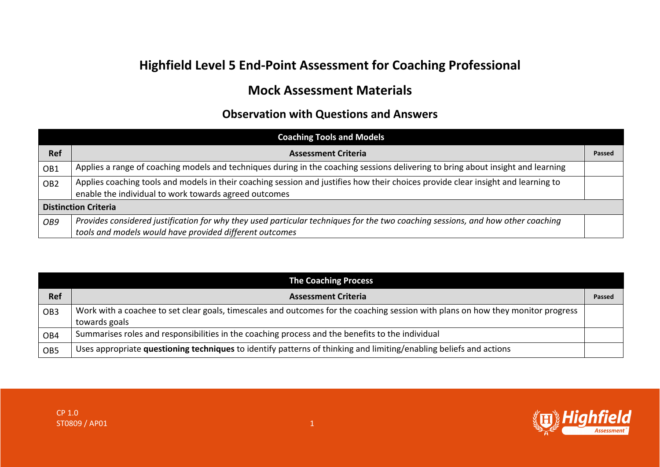## **Highfield Level 5 End-Point Assessment for Coaching Professional**

## **Mock Assessment Materials**

## **Observation with Questions and Answers**

| <b>Coaching Tools and Models</b> |                                                                                                                                                                                            |        |  |
|----------------------------------|--------------------------------------------------------------------------------------------------------------------------------------------------------------------------------------------|--------|--|
| <b>Ref</b>                       | <b>Assessment Criteria</b>                                                                                                                                                                 | Passed |  |
| OB1                              | Applies a range of coaching models and techniques during in the coaching sessions delivering to bring about insight and learning                                                           |        |  |
| OB <sub>2</sub>                  | Applies coaching tools and models in their coaching session and justifies how their choices provide clear insight and learning to<br>enable the individual to work towards agreed outcomes |        |  |
| <b>Distinction Criteria</b>      |                                                                                                                                                                                            |        |  |
| OB9                              | Provides considered justification for why they used particular techniques for the two coaching sessions, and how other coaching<br>tools and models would have provided different outcomes |        |  |

| <b>The Coaching Process</b> |                                                                                                                                  |        |  |
|-----------------------------|----------------------------------------------------------------------------------------------------------------------------------|--------|--|
| <b>Ref</b>                  | <b>Assessment Criteria</b>                                                                                                       | Passed |  |
| OB <sub>3</sub>             | Work with a coachee to set clear goals, timescales and outcomes for the coaching session with plans on how they monitor progress |        |  |
|                             | towards goals                                                                                                                    |        |  |
| OB4                         | Summarises roles and responsibilities in the coaching process and the benefits to the individual                                 |        |  |
| OB <sub>5</sub>             | Uses appropriate questioning techniques to identify patterns of thinking and limiting/enabling beliefs and actions               |        |  |